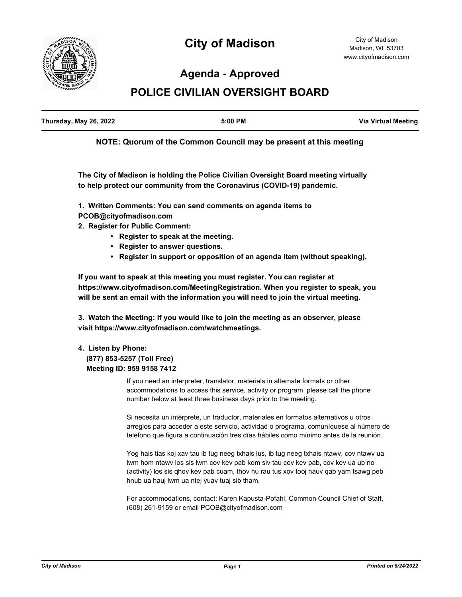

# **City of Madison**

# **Agenda - Approved**

# **POLICE CIVILIAN OVERSIGHT BOARD**

| Thursday, May 26, 2022 | $5:00$ PM | <b>Via Virtual Meeting</b> |
|------------------------|-----------|----------------------------|
|                        |           |                            |

**NOTE: Quorum of the Common Council may be present at this meeting**

**The City of Madison is holding the Police Civilian Oversight Board meeting virtually to help protect our community from the Coronavirus (COVID-19) pandemic.**

**1. Written Comments: You can send comments on agenda items to PCOB@cityofmadison.com**

- **2. Register for Public Comment:** 
	- **Register to speak at the meeting.**
	- **Register to answer questions.**
	- **Register in support or opposition of an agenda item (without speaking).**

**If you want to speak at this meeting you must register. You can register at https://www.cityofmadison.com/MeetingRegistration. When you register to speak, you will be sent an email with the information you will need to join the virtual meeting.**

**3. Watch the Meeting: If you would like to join the meeting as an observer, please visit https://www.cityofmadison.com/watchmeetings.**

## **4. Listen by Phone: (877) 853-5257 (Toll Free)**

 **Meeting ID: 959 9158 7412**

If you need an interpreter, translator, materials in alternate formats or other accommodations to access this service, activity or program, please call the phone number below at least three business days prior to the meeting.

Si necesita un intérprete, un traductor, materiales en formatos alternativos u otros arreglos para acceder a este servicio, actividad o programa, comuníquese al número de teléfono que figura a continuación tres días hábiles como mínimo antes de la reunión.

Yog hais tias koj xav tau ib tug neeg txhais lus, ib tug neeg txhais ntawv, cov ntawv ua lwm hom ntawv los sis lwm cov kev pab kom siv tau cov kev pab, cov kev ua ub no (activity) los sis qhov kev pab cuam, thov hu rau tus xov tooj hauv qab yam tsawg peb hnub ua hauj lwm ua ntej yuav tuaj sib tham.

For accommodations, contact: Karen Kapusta-Pofahl, Common Council Chief of Staff, (608) 261-9159 or email PCOB@cityofmadison.com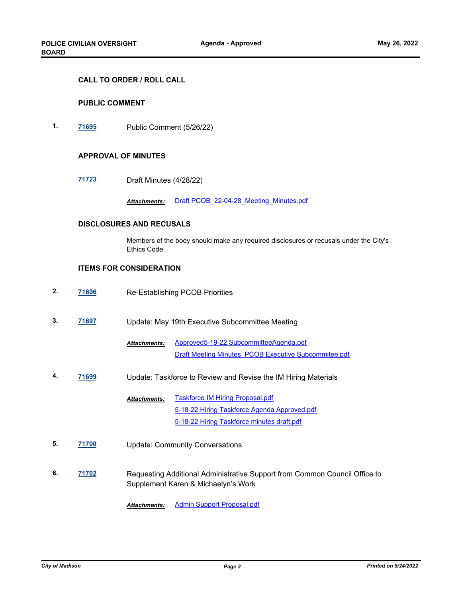#### **CALL TO ORDER / ROLL CALL**

#### **PUBLIC COMMENT**

**1. [71695](http://madison.legistar.com/gateway.aspx?m=l&id=/matter.aspx?key=83562)** Public Comment (5/26/22)

#### **APPROVAL OF MINUTES**

**[71723](http://madison.legistar.com/gateway.aspx?m=l&id=/matter.aspx?key=83585)** Draft Minutes (4/28/22)

*Attachments:* [Draft PCOB\\_22-04-28\\_Meeting\\_Minutes.pdf](http://madison.legistar.com/gateway.aspx?M=F&ID=c5c6d518-4a3c-4e79-b811-60da66bdb7f1.pdf)

### **DISCLOSURES AND RECUSALS**

Members of the body should make any required disclosures or recusals under the City's Ethics Code.

### **ITEMS FOR CONSIDERATION**

- **2. [71696](http://madison.legistar.com/gateway.aspx?m=l&id=/matter.aspx?key=83563)** Re-Establishing PCOB Priorities
- **3. [71697](http://madison.legistar.com/gateway.aspx?m=l&id=/matter.aspx?key=83564)** Update: May 19th Executive Subcommittee Meeting

[Approved5-19-22 SubcommitteeAgenda.pdf](http://madison.legistar.com/gateway.aspx?M=F&ID=6685640c-87e8-4ff0-94ca-50a3705f4ab1.pdf) [Draft Meeting Minutes\\_PCOB Executive Subcommitee.pdf](http://madison.legistar.com/gateway.aspx?M=F&ID=9cdabbbd-24be-4360-aaaf-a25ed92b34a9.pdf) *Attachments:*

**4. [71699](http://madison.legistar.com/gateway.aspx?m=l&id=/matter.aspx?key=83566)** Update: Taskforce to Review and Revise the IM Hiring Materials

[Taskforce IM Hiring Proposal.pdf](http://madison.legistar.com/gateway.aspx?M=F&ID=66bed629-4867-43cb-be71-41c2f1211662.pdf) [5-18-22 Hiring Taskforce Agenda Approved.pdf](http://madison.legistar.com/gateway.aspx?M=F&ID=8ba230d2-9c81-4a93-a30e-12eaa477925c.pdf) [5-18-22 Hiring Taskforce minutes draft.pdf](http://madison.legistar.com/gateway.aspx?M=F&ID=5bb8473c-c572-4484-a6f7-09f7038fca24.pdf) *Attachments:*

- **5. [71700](http://madison.legistar.com/gateway.aspx?m=l&id=/matter.aspx?key=83567)** Update: Community Conversations
- **6. [71702](http://madison.legistar.com/gateway.aspx?m=l&id=/matter.aspx?key=83569)** Requesting Additional Administrative Support from Common Council Office to Supplement Karen & Michaelyn's Work

*Attachments:* [Admin Support Proposal.pdf](http://madison.legistar.com/gateway.aspx?M=F&ID=e528c363-afb2-43e3-83c4-851f0d51635d.pdf)